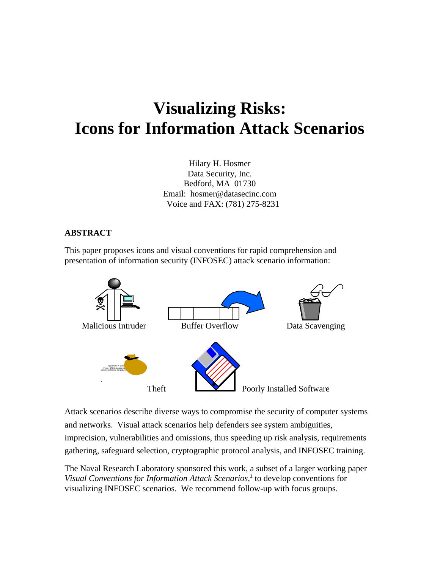# **Visualizing Risks: Icons for Information Attack Scenarios**

Hilary H. Hosmer Data Security, Inc. Bedford, MA 01730 Email: hosmer@datasecinc.com Voice and FAX: (781) 275-8231

#### **ABSTRACT**

This paper proposes icons and visual conventions for rapid comprehension and presentation of information security (INFOSEC) attack scenario information:



Attack scenarios describe diverse ways to compromise the security of computer systems and networks. Visual attack scenarios help defenders see system ambiguities, imprecision, vulnerabilities and omissions, thus speeding up risk analysis, requirements gathering, safeguard selection, cryptographic protocol analysis, and INFOSEC training.

The Naval Research Laboratory sponsored this work, a subset of a larger working paper Visual Conventions for Information Attack Scenarios,<sup>1</sup> to develop conventions for visualizing INFOSEC scenarios. We recommend follow-up with focus groups.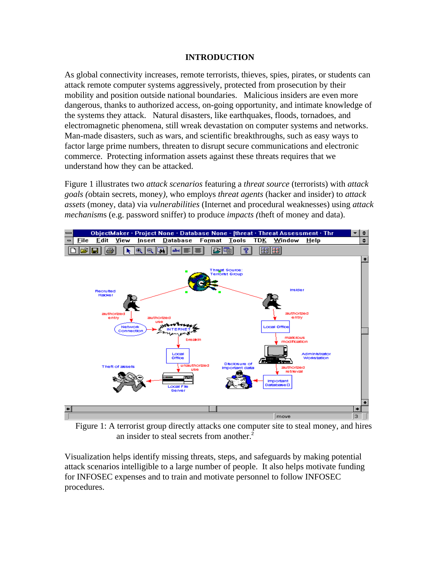#### **INTRODUCTION**

As global connectivity increases, remote terrorists, thieves, spies, pirates, or students can attack remote computer systems aggressively, protected from prosecution by their mobility and position outside national boundaries. Malicious insiders are even more dangerous, thanks to authorized access, on-going opportunity, and intimate knowledge of the systems they attack. Natural disasters, like earthquakes, floods, tornadoes, and electromagnetic phenomena, still wreak devastation on computer systems and networks. Man-made disasters, such as wars, and scientific breakthroughs, such as easy ways to factor large prime numbers, threaten to disrupt secure communications and electronic commerce. Protecting information assets against these threats requires that we understand how they can be attacked.

Figure 1 illustrates two *attack scenarios* featuring a *threat source* (terrorists) with *attack goals (*obtain secrets, money*),* who employs *threat agents* (hacker and insider) to *attack assets* (money, data) via *vulnerabilities* (Internet and procedural weaknesses) using *attack mechanism*s (e.g. password sniffer) to produce *impacts (*theft of money and data).



 Figure 1: A terrorist group directly attacks one computer site to steal money, and hires an insider to steal secrets from another.<sup>2</sup>

Visualization helps identify missing threats, steps, and safeguards by making potential attack scenarios intelligible to a large number of people. It also helps motivate funding for INFOSEC expenses and to train and motivate personnel to follow INFOSEC procedures.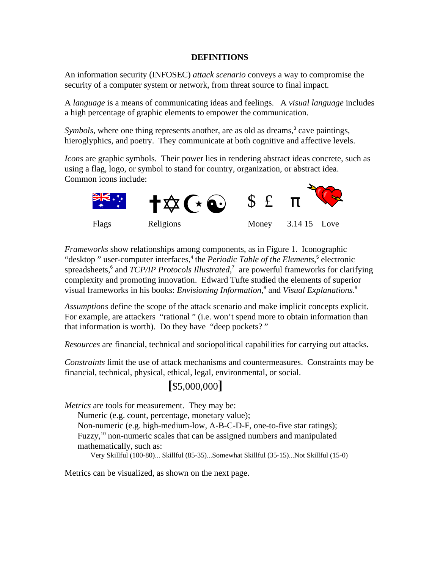#### **DEFINITIONS**

An information security (INFOSEC) *attack scenario* conveys a way to compromise the security of a computer system or network, from threat source to final impact.

A *language* is a means of communicating ideas and feelings. A *visual language* includes a high percentage of graphic elements to empower the communication.

Symbols, where one thing represents another, are as old as dreams,<sup>3</sup> cave paintings, hieroglyphics, and poetry. They communicate at both cognitive and affective levels.

*Icons* are graphic symbols. Their power lies in rendering abstract ideas concrete, such as using a flag, logo, or symbol to stand for country, organization, or abstract idea. Common icons include:



*Frameworks* show relationships among components, as in Figure 1. Iconographic "desktop" user-computer interfaces,<sup>4</sup> the *Periodic Table of the Elements*,<sup>5</sup> electronic spreadsheets,<sup>6</sup> and *TCP/IP Protocols Illustrated*,<sup>7</sup> are powerful frameworks for clarifying complexity and promoting innovation. Edward Tufte studied the elements of superior visual frameworks in his books: *Envisioning Information*,<sup>8</sup> and *Visual Explanations*.<sup>9</sup>

*Assumptions* define the scope of the attack scenario and make implicit concepts explicit. For example, are attackers "rational" (i.e. won't spend more to obtain information than that information is worth). Do they have "deep pockets? "

*Resources* are financial, technical and sociopolitical capabilities for carrying out attacks.

*Constraints* limit the use of attack mechanisms and countermeasures. Constraints may be financial, technical, physical, ethical, legal, environmental, or social.

# **[**\$5,000,000**]**

*Metrics* are tools for measurement. They may be:

Numeric (e.g. count, percentage, monetary value);

Non-numeric (e.g. high-medium-low, A-B-C-D-F, one-to-five star ratings); Fuzzy,<sup>10</sup> non-numeric scales that can be assigned numbers and manipulated

mathematically, such as:

Very Skillful (100-80)... Skillful (85-35)...Somewhat Skillful (35-15)...Not Skillful (15-0)

Metrics can be visualized, as shown on the next page.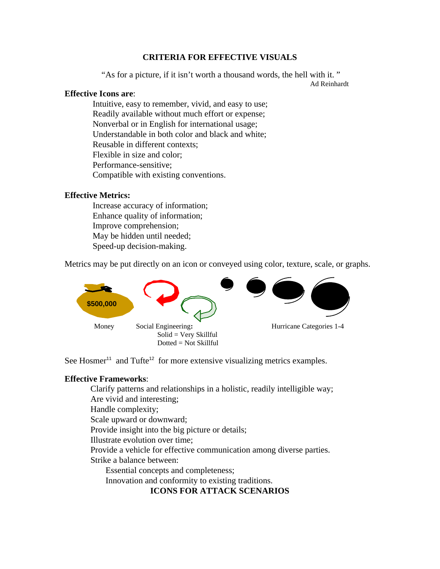#### **CRITERIA FOR EFFECTIVE VISUALS**

"As for a picture, if it isn't worth a thousand words, the hell with it. "

Ad Reinhardt

#### **Effective Icons are**:

 Intuitive, easy to remember, vivid, and easy to use; Readily available without much effort or expense; Nonverbal or in English for international usage; Understandable in both color and black and white; Reusable in different contexts; Flexible in size and color; Performance-sensitive; Compatible with existing conventions.

#### **Effective Metrics:**

 Increase accuracy of information; Enhance quality of information; Improve comprehension; May be hidden until needed; Speed-up decision-making.

Metrics may be put directly on an icon or conveyed using color, texture, scale, or graphs.



See Hosmer<sup>11</sup> and Tufte<sup>12</sup> for more extensive visualizing metrics examples.

#### **Effective Frameworks**:

Clarify patterns and relationships in a holistic, readily intelligible way; Are vivid and interesting;

Handle complexity;

Scale upward or downward;

Provide insight into the big picture or details;

Illustrate evolution over time;

Provide a vehicle for effective communication among diverse parties.

Strike a balance between:

Essential concepts and completeness;

Innovation and conformity to existing traditions.

## **ICONS FOR ATTACK SCENARIOS**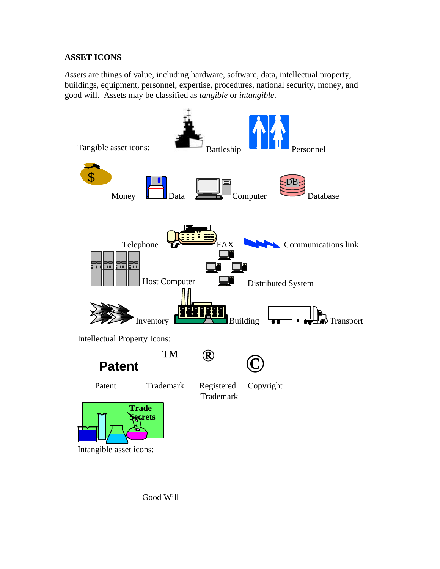#### **ASSET ICONS**

*Assets* are things of value, including hardware, software, data, intellectual property, buildings, equipment, personnel, expertise, procedures, national security, money, and good will. Assets may be classified as *tangible* or *intangible*.



Good Will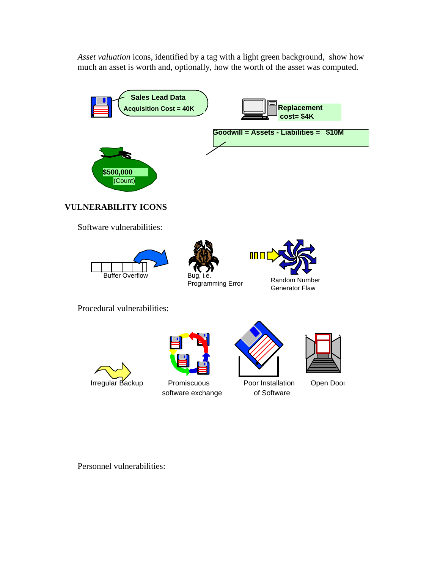*Asset valuation* icons, identified by a tag with a light green background, show how much an asset is worth and, optionally, how the worth of the asset was computed.



Personnel vulnerabilities: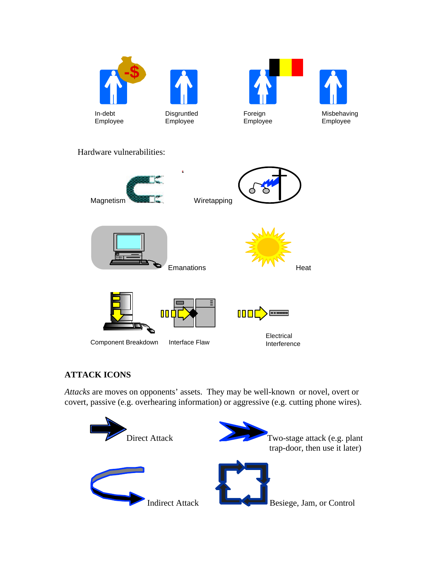







Misbehaving Employee

Hardware vulnerabilities:



### **ATTACK ICONS**

*Attacks* are moves on opponents' assets. They may be well-known or novel, overt or covert, passive (e.g. overhearing information) or aggressive (e.g. cutting phone wires).

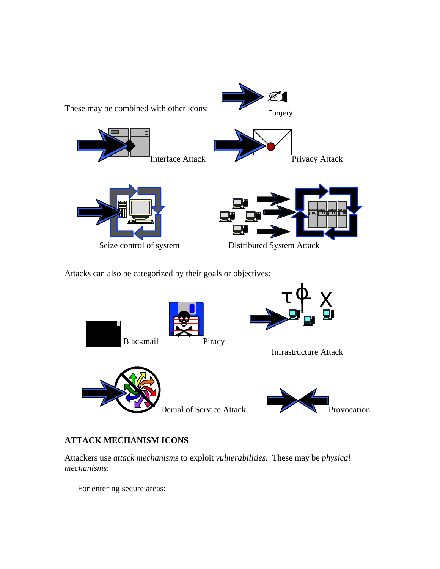

Attacks can also be categorized by their goals or objectives:



# **ATTACK MECHANISM ICONS**

Attackers use *attack mechanisms* to exploit *vulnerabilities.* These may be *physical mechanisms*:

For entering secure areas: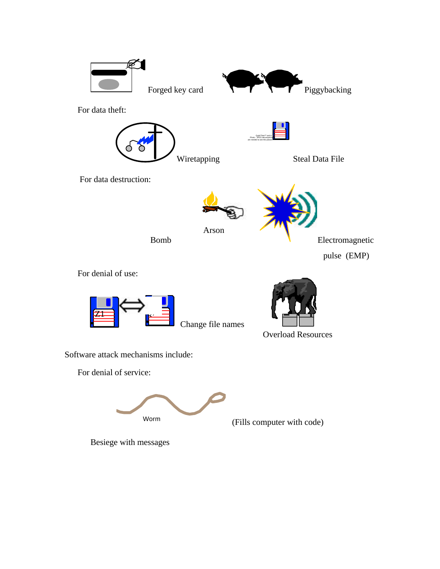

For data theft:



Steal Data File

For data destruction:



Arson



QuickTime™ and a Photo - JPEG decompressor are needed to see this picture.

Bomb

 Electromagnetic pulse (EMP)

For denial of use:



Change file names



Software attack mechanisms include:

For denial of service:

Worm (Fills computer with code)

Besiege with messages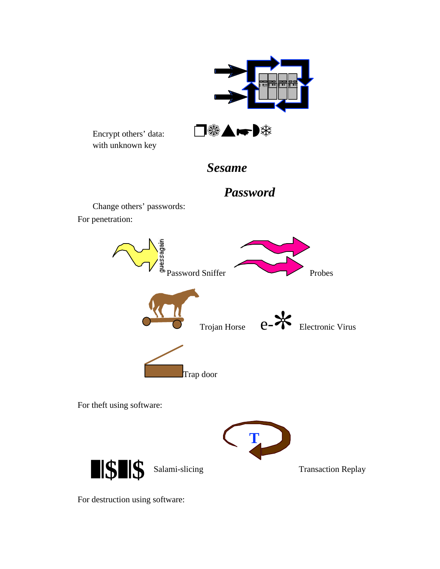

For destruction using software: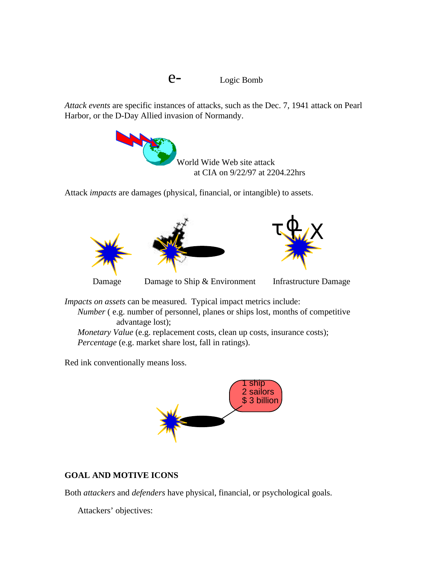*Attack events* are specific instances of attacks*,* such as the Dec. 7, 1941 attack on Pearl Harbor, or the D-Day Allied invasion of Normandy.



Attack *impacts* are damages (physical, financial, or intangible) to assets.



*Impacts on assets* can be measured. Typical impact metrics include:

*Number* (e.g. number of personnel, planes or ships lost, months of competitive advantage lost);

*Monetary Value* (e.g. replacement costs, clean up costs, insurance costs); *Percentage* (e.g. market share lost, fall in ratings).

Red ink conventionally means loss.



# **GOAL AND MOTIVE ICONS**

Both *attackers* and *defenders* have physical, financial, or psychological goals.

Attackers' objectives: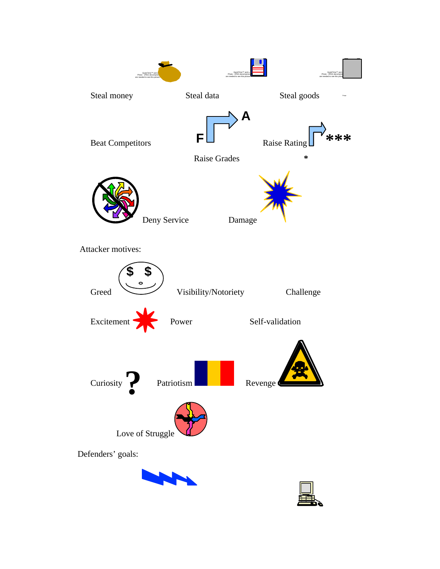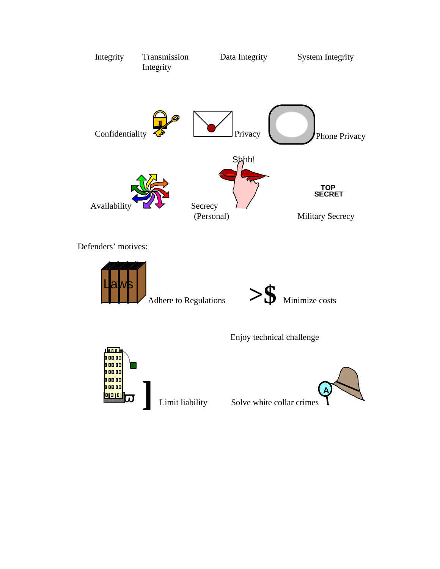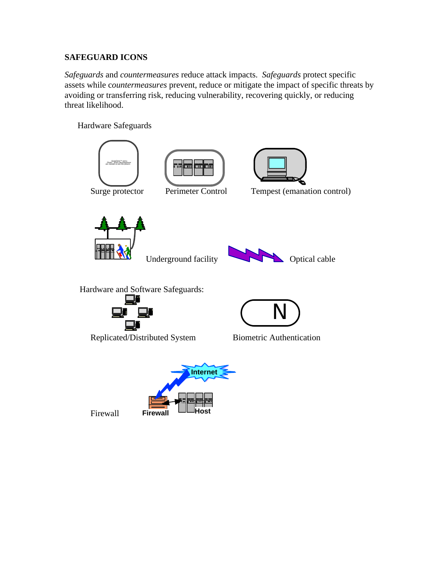#### **SAFEGUARD ICONS**

*Safeguards* and *countermeasures* reduce attack impacts. *Safeguards* protect specific assets while c*ountermeasures* prevent, reduce or mitigate the impact of specific threats by avoiding or transferring risk, reducing vulnerability, recovering quickly, or reducing threat likelihood.

Hardware Safeguards

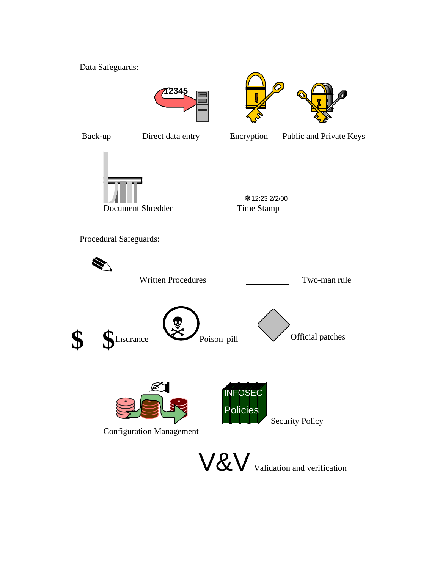Data Safeguards:





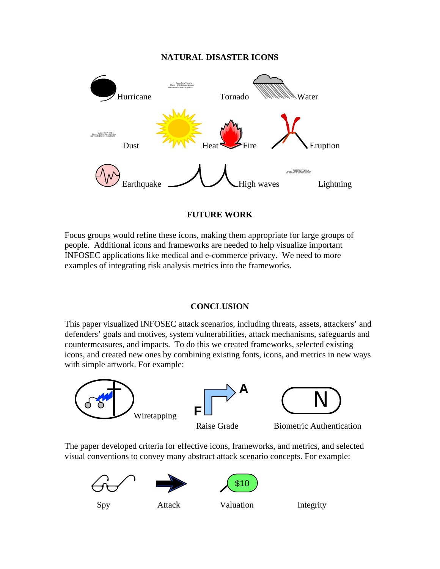#### **NATURAL DISASTER ICONS**



#### **FUTURE WORK**

Focus groups would refine these icons, making them appropriate for large groups of people. Additional icons and frameworks are needed to help visualize important INFOSEC applications like medical and e-commerce privacy. We need to more examples of integrating risk analysis metrics into the frameworks.

#### **CONCLUSION**

This paper visualized INFOSEC attack scenarios, including threats, assets, attackers' and defenders' goals and motives, system vulnerabilities, attack mechanisms, safeguards and countermeasures, and impacts. To do this we created frameworks, selected existing icons, and created new ones by combining existing fonts, icons, and metrics in new ways with simple artwork. For example:



The paper developed criteria for effective icons, frameworks, and metrics, and selected visual conventions to convey many abstract attack scenario concepts. For example:







Spy Attack Valuation Integrity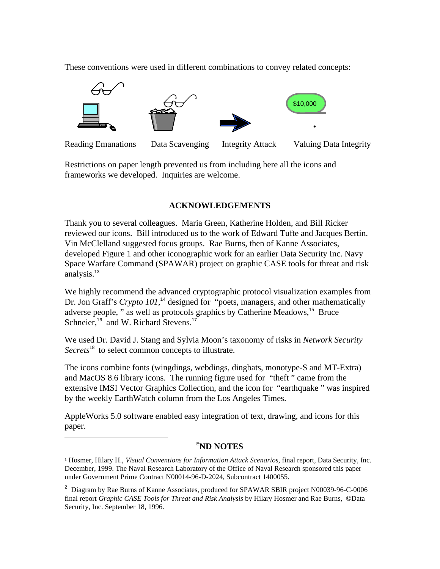These conventions were used in different combinations to convey related concepts:



Reading Emanations Data Scavenging Integrity Attack Valuing Data Integrity

Restrictions on paper length prevented us from including here all the icons and frameworks we developed. Inquiries are welcome.

#### **ACKNOWLEDGEMENTS**

Thank you to several colleagues. Maria Green, Katherine Holden, and Bill Ricker reviewed our icons. Bill introduced us to the work of Edward Tufte and Jacques Bertin. Vin McClelland suggested focus groups. Rae Burns, then of Kanne Associates, developed Figure 1 and other iconographic work for an earlier Data Security Inc. Navy Space Warfare Command (SPAWAR) project on graphic CASE tools for threat and risk analysis.<sup>13</sup>

We highly recommend the advanced cryptographic protocol visualization examples from Dr. Jon Graff's *Crypto 101*,<sup>14</sup> designed for "poets, managers, and other mathematically adverse people, " as well as protocols graphics by Catherine Meadows,<sup>15</sup> Bruce Schneier,<sup>16</sup> and W. Richard Stevens.<sup>17</sup>

We used Dr. David J. Stang and Sylvia Moon's taxonomy of risks in *Network Security* Secrets<sup>18</sup> to select common concepts to illustrate.

The icons combine fonts (wingdings, webdings, dingbats, monotype-S and MT-Extra) and MacOS 8.6 library icons. The running figure used for "theft " came from the extensive IMSI Vector Graphics Collection, and the icon for "earthquake " was inspired by the weekly EarthWatch column from the Los Angeles Times.

AppleWorks 5.0 software enabled easy integration of text, drawing, and icons for this paper.

 $\overline{a}$ 

#### <sup>E</sup>**ND NOTES**

<sup>1</sup> Hosmer, Hilary H., *Visual Conventions for Information Attack Scenarios,* final report*,* Data Security, Inc. December, 1999. The Naval Research Laboratory of the Office of Naval Research sponsored this paper under Government Prime Contract N00014-96-D-2024, Subcontract 1400055.

<sup>&</sup>lt;sup>2</sup> Diagram by Rae Burns of Kanne Associates, produced for SPAWAR SBIR project N00039-96-C-0006 final report *Graphic CASE Tools for Threat and Risk Analysis* by Hilary Hosmer and Rae Burns, ©Data Security, Inc. September 18, 1996.